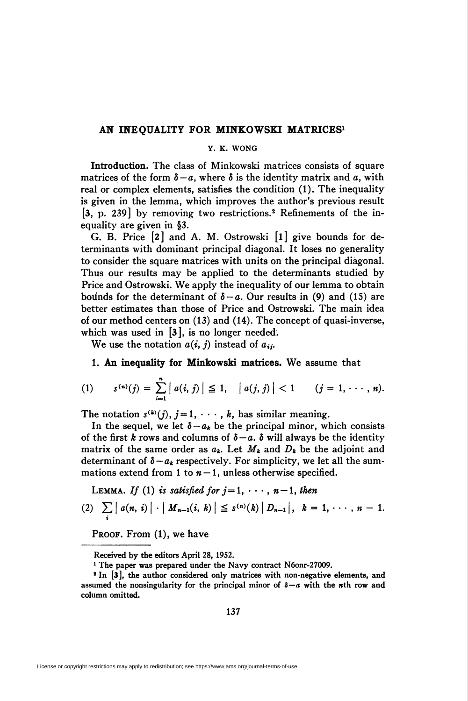## AN INEQUALITY FOR MINKOWSKI MATRICES<sup>1</sup>

# Y. K. WONG

Introduction. The class of Minkowski matrices consists of square matrices of the form  $\delta - a$ , where  $\delta$  is the identity matrix and a, with real or complex elements, satisfies the condition (1). The inequality is given in the lemma, which improves the author's previous result [3, p. 239] by removing two restrictions.2 Refinements of the inequality are given in §3.

G. B. Price [2] and A. M. Ostrowski [l] give bounds for determinants with dominant principal diagonal. It loses no generality to consider the square matrices with units on the principal diagonal. Thus our results may be applied to the determinants studied by Price and Ostrowski. We apply the inequality of our lemma to obtain bounds for the determinant of  $\delta - a$ . Our results in (9) and (15) are better estimates than those of Price and Ostrowski. The main idea of our method centers on (13) and (14). The concept of quasi-inverse, which was used in [3], is no longer needed.

We use the notation  $a(i, j)$  instead of  $a_{ij}$ .

## 1. An inequality for Minkowski matrices. We assume that

(1) 
$$
s^{(n)}(j) = \sum_{i=1}^{n} |a(i, j)| \leq 1, |a(j, j)| < 1 \quad (j = 1, \cdots, n).
$$

The notation  $s^{(k)}(j)$ ,  $j=1, \dots, k$ , has similar meaning.

In the sequel, we let  $\delta - a_k$  be the principal minor, which consists of the first k rows and columns of  $\delta - a$ .  $\delta$  will always be the identity matrix of the same order as  $a_k$ . Let  $M_k$  and  $D_k$  be the adjoint and determinant of  $\delta - a_k$  respectively. For simplicity, we let all the summations extend from 1 to  $n-1$ , unless otherwise specified.

LEMMA. If (1) is satisfied for 
$$
j = 1, \dots, n-1
$$
, then  
\n(2)  $\sum_{i} |a(n, i)| \cdot |M_{n-1}(i, k)| \leq s^{(n)}(k) |D_{n-1}|$ ,  $k = 1, \dots, n-1$ .

PROOF. From  $(1)$ , we have

Received by the editors April 28, 1952.

<sup>&</sup>lt;sup>1</sup> The paper was prepared under the Navy contract N6onr-27009.

<sup>&</sup>lt;sup>2</sup> In [3], the author considered only matrices with non-negative elements, and assumed the nonsingularity for the principal minor of  $\delta - a$  with the *n*th row and column omitted.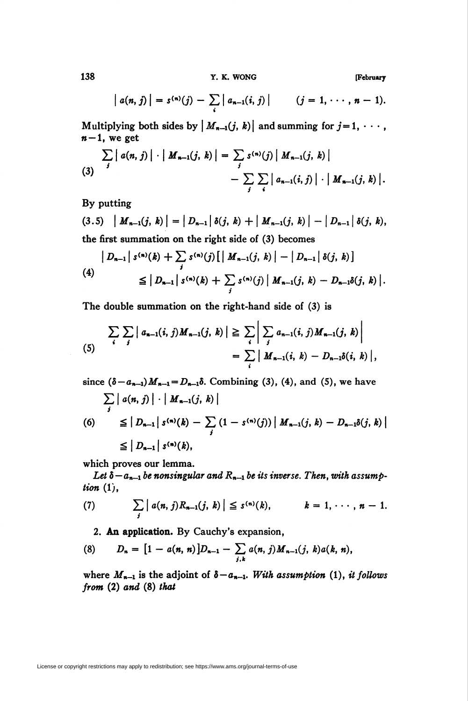138 T. K. WONG [February

$$
|a(n, j)| = s^{(n)}(j) - \sum_{i} |a_{n-1}(i, j)| \qquad (j = 1, \cdots, n-1).
$$

Multiplying both sides by  $|M_{n-1}(j, k)|$  and summing for  $j = 1, \dots$ ,  $n-1$ , we get

$$
\sum_{j} | a(n, j) | \cdot | M_{n-1}(j, k) | = \sum_{j} s^{(n)}(j) | M_{n-1}(j, k) | - \sum_{j} \sum_{i} | a_{n-1}(i, j) | \cdot | M_{n-1}(j, k) |.
$$

By putting

(3.5) 
$$
|M_{n-1}(j,k)| = |D_{n-1}| \delta(j,k) + |M_{n-1}(j,k)| - |D_{n-1}| \delta(j,k),
$$
 the first summation on the right side of (3) becomes

$$
\left| D_{n-1} \right| s^{(n)}(k) + \sum_{j} s^{(n)}(j) \left[ \left| M_{n-1}(j,k) \right| - \left| D_{n-1} \right| \delta(j,k) \right]
$$
  
(4)  

$$
\leq \left| D_{n-1} \right| s^{(n)}(k) + \sum_{j} s^{(n)}(j) \left| M_{n-1}(j,k) - D_{n-1} \delta(j,k) \right|.
$$

The double summation on the right-hand side of (3) is

$$
\sum_{i} \sum_{j} | a_{n-1}(i, j) M_{n-1}(j, k) | \geq \sum_{i} \left| \sum_{j} a_{n-1}(i, j) M_{n-1}(j, k) \right|
$$
  
=  $\sum_{i} | M_{n-1}(i, k) - D_{n-1} \delta(i, k) |,$ 

since  $(\delta - a_{n-1})M_{n-1} = D_{n-1}\delta$ . Combining (3), (4), and (5), we have  $\sum\left|a(n,j)\right|\cdot\left|M_{n-1}\right|$ i (6)  $\leq |D_{n-1}| s^{(n)}(k) - \sum (1 - s^{(n)}(j)) | M_{n-1}(j, k) - D_{n-1}\delta(j, k)|$ y  $\leq |D_{n-1}| s^{(n)}(k),$ 

which proves our lemma.

Let  $\delta - a_{n-1}$  be nonsingular and  $R_{n-1}$  be its inverse. Then, with assumption  $(1)$ ,

(7) 
$$
\sum_{j} | a(n, j) R_{n-1}(j, k) | \leq s^{(n)}(k), \qquad k = 1, \cdots, n-1.
$$

2. An application. By Cauchy's expansion,

(8) 
$$
D_n = [1 - a(n, n)]D_{n-1} - \sum_{j,k} a(n, j) M_{n-1}(j, k) a(k, n),
$$

where  $M_{n-1}$  is the adjoint of  $\delta-a_{n-1}$ . With assumption (1), it follows from (2) and (8) that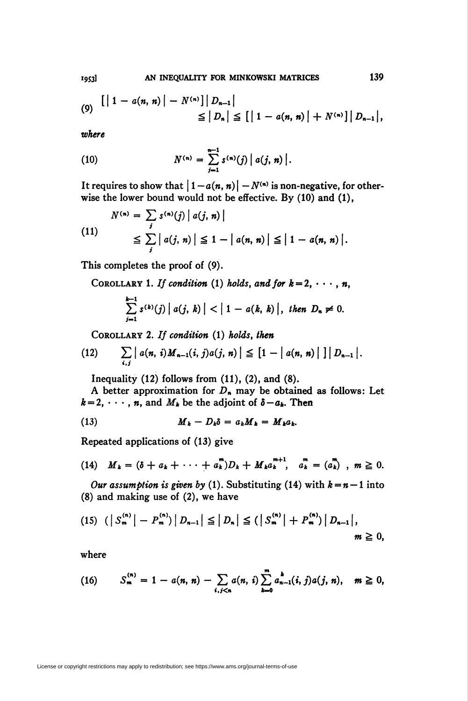(9) 
$$
\left[ \left| 1 - a(n, n) \right| - N^{(n)} \right] | D_{n-1} \right|
$$
  
\n $\leq | D_n | \leq \left[ \left| 1 - a(n, n) \right| + N^{(n)} \right] | D_{n-1} |$ 

where

(10) 
$$
N^{(n)} = \sum_{j=1}^{n-1} s^{(n)}(j) |a(j, n)|.
$$

It requires to show that  $|1 - a(n, n)| - N^{(n)}$  is non-negative, for otherwise the lower bound would not be effective. By (10) and (1),

$$
N^{(n)} = \sum_{j} s^{(n)}(j) |a(j, n)|
$$
  
\n
$$
\leq \sum_{j} |a(j, n)| \leq 1 - |a(n, n)| \leq |1 - a(n, n)|.
$$

This completes the proof of (9).

COROLLARY 1. If condition (1) holds, and for  $k = 2, \dots, n$ ,

$$
\sum_{j=1}^{k-1} s^{(k)}(j) |a(j, k)| < |1 - a(k, k)|, \text{ then } D_n \neq 0.
$$

COROLLARY 2. If condition  $(1)$  holds, then

(12) 
$$
\sum_{i,j} |a(n, i) M_{n-1}(i, j) a(j, n)| \leq [1 - |a(n, n)|] |D_{n-1}|.
$$

Inequality  $(12)$  follows from  $(11)$ ,  $(2)$ , and  $(8)$ .

A better approximation for  $D_n$  may be obtained as follows: Let  $k = 2, \dots, n$ , and  $M_k$  be the adjoint of  $\delta - a_k$ . Then

(13) 
$$
M_k - D_k \delta = a_k M_k = M_k a_k.
$$

Repeated applications of (13) give

(14) 
$$
M_k = (\delta + a_k + \cdots + a_k^m)D_k + M_k a_k^{m+1}, a_k^m = (a_k^m), m \ge 0.
$$

Our assumption is given by (1). Substituting (14) with  $k = n - 1$  into (8) and making use of (2), we have

$$
(15) \ \left( \left| \ S_{m}^{(n)} \right| - P_{m}^{(n)} \right) \left| \ D_{n-1} \right| \leq \left| \ D_{n} \right| \leq \left( \left| \ S_{m}^{(n)} \right| + P_{m}^{(n)} \right) \left| \ D_{n-1} \right|, \qquad m \geq 0,
$$

where

(16) 
$$
S_{m}^{(n)} = 1 - a(n, n) - \sum_{i, j < n} a(n, i) \sum_{k=0}^{m} a_{n-1}^{k}(i, j) a(j, n), \quad m \ge 0,
$$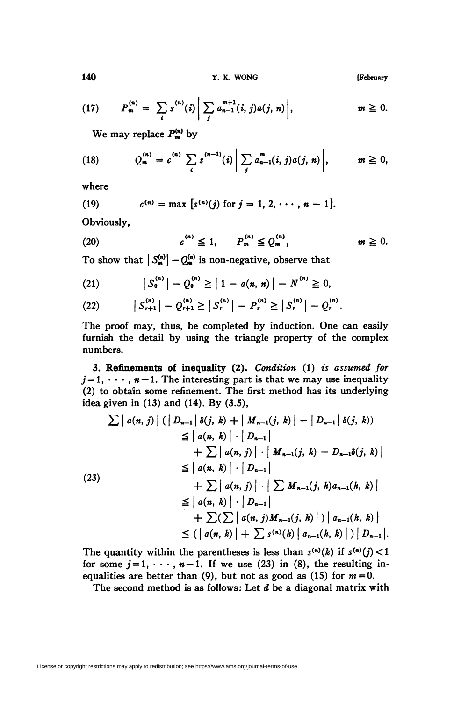140 **Y. K. WONG** [February

(17) 
$$
P_m^{(n)} = \sum_i s^{(n)}(i) \left| \sum_j a_{n-1}^{m+1}(i,j) a(j,n) \right|, \qquad m \geq 0.
$$

We may replace  $P^{(n)}_{m}$  by

(18) 
$$
Q_m^{(n)} = c^{(n)} \sum_i s^{(n-1)}(i) \left| \sum_j a_{n-1}^m(i,j) a(j,n) \right|, \qquad m \geq 0,
$$

where

(19) 
$$
c^{(n)} = \max [s^{(n)}(j) \text{ for } j = 1, 2, \cdots, n-1].
$$

Obviously,

$$
(20) \t\t c(n) \leq 1, \t P(n) \leq Q(n), \t m \geq 0.
$$

To show that  $|S^{(n)}_{m}| - Q^{(n)}_{m}$  is non-negative, observe that

(21) 
$$
|S_0^{(n)}| - Q_0^{(n)} \ge |1 - a(n, n)| - N^{(n)} \ge 0,
$$

(22) 
$$
|S_{r+1}^{(n)}| - Q_{r+1}^{(n)} \geq |S_r^{(n)}| - P_r^{(n)} \geq |S_r^{(n)}| - Q_r^{(n)}.
$$

The proof may, thus, be completed by induction. One can easily furnish the detail by using the triangle property of the complex numbers.

3. Refinements of inequality (2). Condition (1) is assumed for  $j=1, \dots, n-1$ . The interesting part is that we may use inequality (2) to obtain some refinement. The first method has its underlying idea given in (13) and (14). By (3.5),

$$
\sum |a(n, j)| (|D_{n-1}| \delta(j, k) + |M_{n-1}(j, k)| - |D_{n-1}| \delta(j, k))
$$
\n
$$
\leq |a(n, k)| \cdot |D_{n-1}|
$$
\n
$$
+ \sum |a(n, j)| \cdot |M_{n-1}(j, k) - D_{n-1}\delta(j, k)|
$$
\n
$$
\leq |a(n, k)| \cdot |D_{n-1}|
$$
\n(23)\n
$$
+ \sum |a(n, j)| \cdot |\sum M_{n-1}(j, h)a_{n-1}(h, k)|
$$
\n
$$
\leq |a(n, k)| \cdot |D_{n-1}|
$$
\n
$$
+ \sum (\sum |a(n, j)M_{n-1}(j, h)|) |a_{n-1}(h, k)|
$$
\n
$$
\leq (|a(n, k)| + \sum s^{(n)}(h) |a_{n-1}(h, k)|) |D_{n-1}|.
$$

The quantity within the parentheses is less than  $s^{(n)}(k)$  if  $s^{(n)}(j)$  < 1 for some  $j=1, \dots, n-1$ . If we use (23) in (8), the resulting inequalities are better than (9), but not as good as (15) for  $m = 0$ .

The second method is as follows: Let  $d$  be a diagonal matrix with